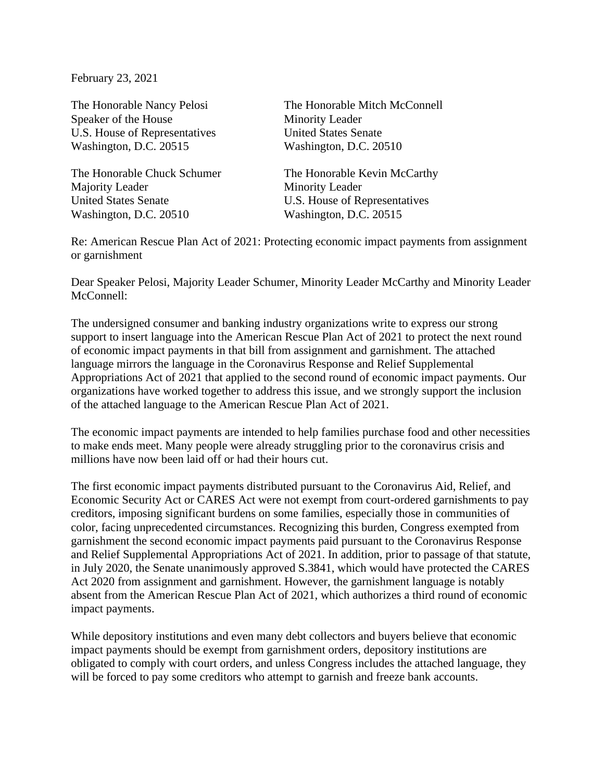February 23, 2021

Speaker of the House Minority Leader U.S. House of Representatives United States Senate Washington, D.C. 20515 Washington, D.C. 20510

Majority Leader Minority Leader United States Senate **U.S. House of Representatives** Washington, D.C. 20510 Washington, D.C. 20515

The Honorable Nancy Pelosi The Honorable Mitch McConnell

The Honorable Chuck Schumer The Honorable Kevin McCarthy

Re: American Rescue Plan Act of 2021: Protecting economic impact payments from assignment or garnishment

Dear Speaker Pelosi, Majority Leader Schumer, Minority Leader McCarthy and Minority Leader McConnell:

The undersigned consumer and banking industry organizations write to express our strong support to insert language into the American Rescue Plan Act of 2021 to protect the next round of economic impact payments in that bill from assignment and garnishment. The attached language mirrors the language in the Coronavirus Response and Relief Supplemental Appropriations Act of 2021 that applied to the second round of economic impact payments. Our organizations have worked together to address this issue, and we strongly support the inclusion of the attached language to the American Rescue Plan Act of 2021.

The economic impact payments are intended to help families purchase food and other necessities to make ends meet. Many people were already struggling prior to the coronavirus crisis and millions have now been laid off or had their hours cut.

The first economic impact payments distributed pursuant to the Coronavirus Aid, Relief, and Economic Security Act or CARES Act were not exempt from court-ordered garnishments to pay creditors, imposing significant burdens on some families, especially those in communities of color, facing unprecedented circumstances. Recognizing this burden, Congress exempted from garnishment the second economic impact payments paid pursuant to the Coronavirus Response and Relief Supplemental Appropriations Act of 2021. In addition, prior to passage of that statute, in July 2020, the Senate unanimously approved S.3841, which would have protected the CARES Act 2020 from assignment and garnishment. However, the garnishment language is notably absent from the American Rescue Plan Act of 2021, which authorizes a third round of economic impact payments.

While depository institutions and even many debt collectors and buyers believe that economic impact payments should be exempt from garnishment orders, depository institutions are obligated to comply with court orders, and unless Congress includes the attached language, they will be forced to pay some creditors who attempt to garnish and freeze bank accounts.